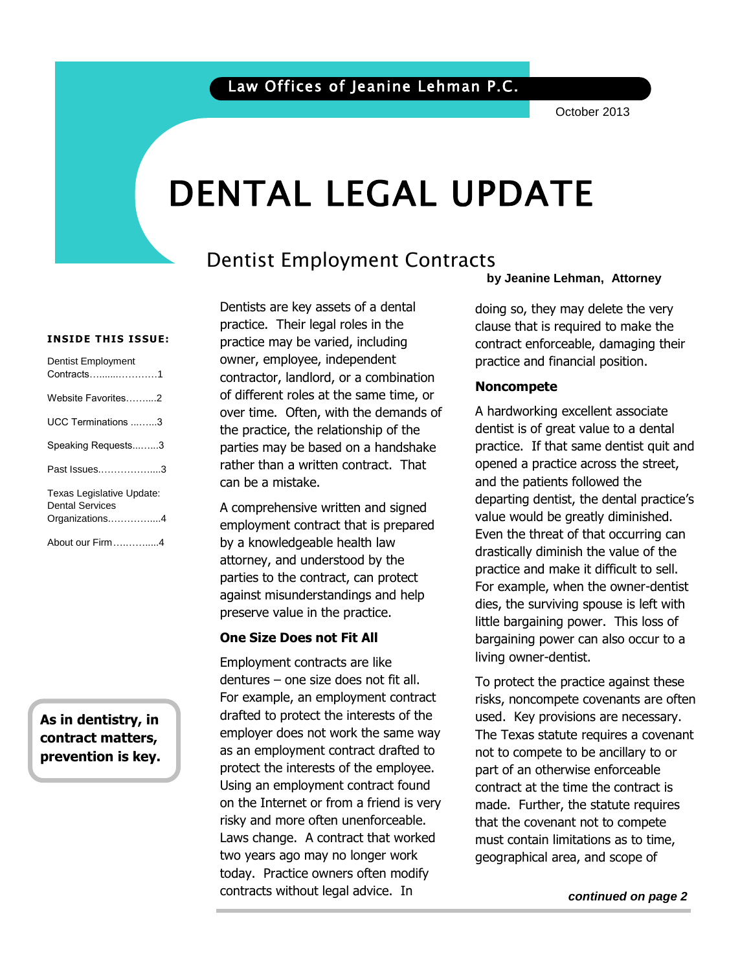October 2013

# DENTAL LEGAL UPDATE

# Dentist Employment Contracts

#### **INSIDE THIS ISSUE:**

| <b>Dentist Employment</b><br>Contracts1                               |
|-----------------------------------------------------------------------|
| Website Favorites2                                                    |
| UCC Terminations 3                                                    |
| Speaking Requests3                                                    |
| Past Issues3                                                          |
| Texas Legislative Update:<br><b>Dental Services</b><br>Organizations4 |
| About our Firm4                                                       |

**As in dentistry, in contract matters, prevention is key.** 

Dentists are key assets of a dental practice. Their legal roles in the practice may be varied, including owner, employee, independent contractor, landlord, or a combination of different roles at the same time, or over time. Often, with the demands of the practice, the relationship of the parties may be based on a handshake rather than a written contract. That can be a mistake.

A comprehensive written and signed employment contract that is prepared by a knowledgeable health law attorney, and understood by the parties to the contract, can protect against misunderstandings and help preserve value in the practice.

#### **One Size Does not Fit All**

Employment contracts are like dentures – one size does not fit all. For example, an employment contract drafted to protect the interests of the employer does not work the same way as an employment contract drafted to protect the interests of the employee. Using an employment contract found on the Internet or from a friend is very risky and more often unenforceable. Laws change. A contract that worked two years ago may no longer work today. Practice owners often modify contracts without legal advice. In

**by Jeanine Lehman, Attorney**

 contract enforceable, damaging their doing so, they may delete the very clause that is required to make the practice and financial position.

# **Noncompete**

A hardworking excellent associate dentist is of great value to a dental practice. If that same dentist quit and opened a practice across the street, and the patients followed the departing dentist, the dental practice's value would be greatly diminished. Even the threat of that occurring can drastically diminish the value of the practice and make it difficult to sell. For example, when the owner-dentist dies, the surviving spouse is left with little bargaining power. This loss of bargaining power can also occur to a living owner-dentist.

> To protect the practice against these risks, noncompete covenants are often used. Key provisions are necessary. The Texas statute requires a covenant not to compete to be ancillary to or part of an otherwise enforceable contract at the time the contract is made. Further, the statute requires that the covenant not to compete must contain limitations as to time, geographical area, and scope of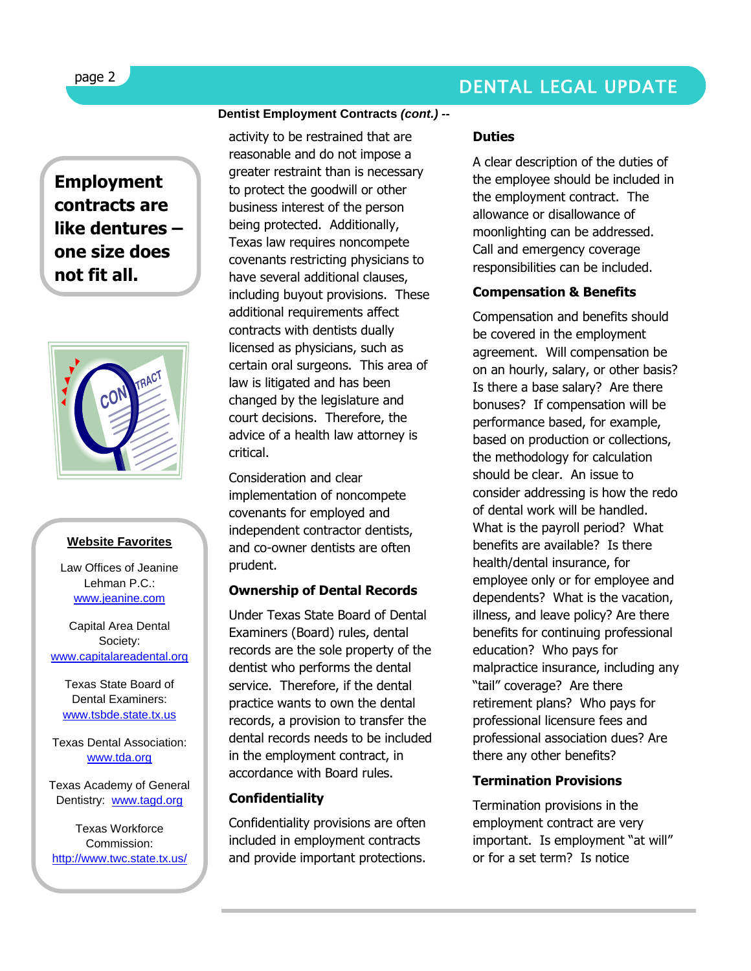**Employment contracts are like dentures – one size does not fit all.** 



#### **Website Favorites**

Law Offices of Jeanine Lehman P.C.: [www.jeanine.com](http://www.jeanine.com/)

Capital Area Dental Society: [www.capitalareadental.org](http://www.capitalareadental.org/)

Texas State Board of Dental Examiners: [www.tsbde.state.tx.us](http://www.tsbde.state.tx.us/)

Texas Dental Association: [www.tda.org](http://www.tda.org/)

Texas Academy of General Dentistry: [www.tagd.org](http://www.tagd.org/)

Texas Workforce Commission: <http://www.twc.state.tx.us/>

#### **Dentist Employment Contracts** *(cont.) --*

activity to be restrained that are reasonable and do not impose a greater restraint than is necessary to protect the goodwill or other business interest of the person being protected. Additionally, Texas law requires noncompete covenants restricting physicians to have several additional clauses, including buyout provisions. These additional requirements affect contracts with dentists dually licensed as physicians, such as certain oral surgeons. This area of law is litigated and has been changed by the legislature and court decisions. Therefore, the advice of a health law attorney is critical.

Consideration and clear implementation of noncompete covenants for employed and independent contractor dentists, and co-owner dentists are often prudent.

#### **Ownership of Dental Records**

Under Texas State Board of Dental Examiners (Board) rules, dental records are the sole property of the dentist who performs the dental service. Therefore, if the dental practice wants to own the dental records, a provision to transfer the dental records needs to be included in the employment contract, in accordance with Board rules.

#### **Confidentiality**

Confidentiality provisions are often included in employment contracts and provide important protections.

#### **Duties**

A clear description of the duties of the employee should be included in the employment contract. The allowance or disallowance of moonlighting can be addressed. Call and emergency coverage responsibilities can be included.

#### **Compensation & Benefits**

Compensation and benefits should be covered in the employment agreement. Will compensation be on an hourly, salary, or other basis? Is there a base salary? Are there bonuses? If compensation will be performance based, for example, based on production or collections, the methodology for calculation should be clear. An issue to consider addressing is how the redo of dental work will be handled. What is the payroll period? What benefits are available? Is there health/dental insurance, for employee only or for employee and dependents? What is the vacation, illness, and leave policy? Are there benefits for continuing professional education? Who pays for malpractice insurance, including any "tail" coverage? Are there retirement plans? Who pays for professional licensure fees and professional association dues? Are there any other benefits?

#### **Termination Provisions**

Termination provisions in the employment contract are very important. Is employment "at will" or for a set term? Is notice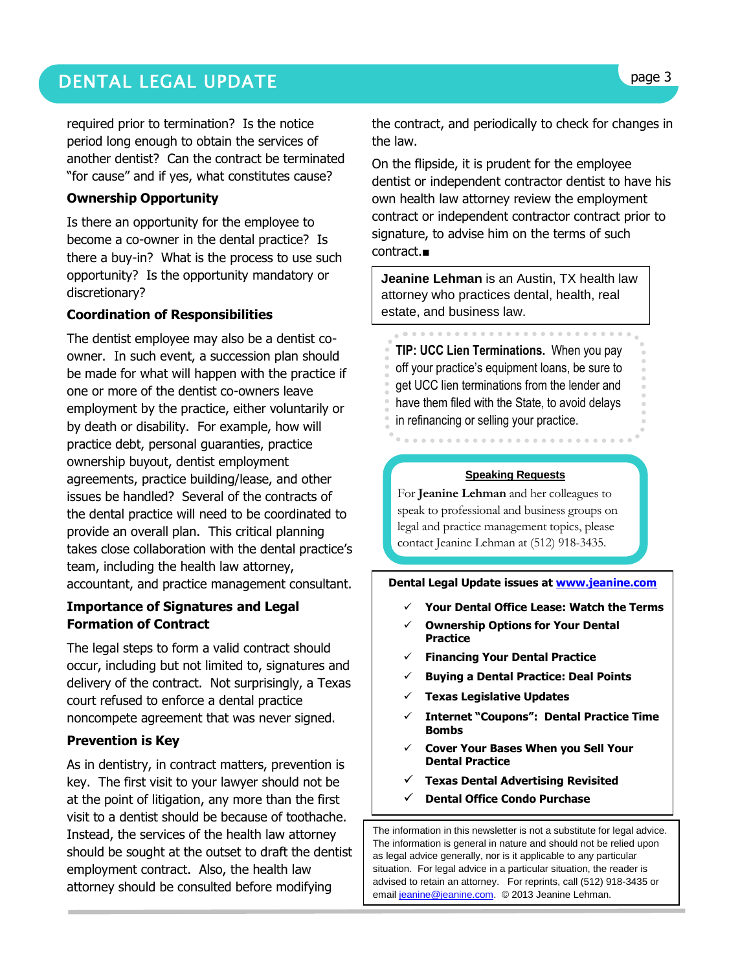# DENTAL LEGAL UPDATE **page 3**

required prior to termination? Is the notice period long enough to obtain the services of another dentist? Can the contract be terminated "for cause" and if yes, what constitutes cause?

#### **Ownership Opportunity**

Is there an opportunity for the employee to become a co-owner in the dental practice? Is there a buy-in? What is the process to use such opportunity? Is the opportunity mandatory or discretionary?

#### **Coordination of Responsibilities**

The dentist employee may also be a dentist coowner. In such event, a succession plan should be made for what will happen with the practice if one or more of the dentist co-owners leave employment by the practice, either voluntarily or by death or disability. For example, how will practice debt, personal guaranties, practice ownership buyout, dentist employment agreements, practice building/lease, and other issues be handled? Several of the contracts of the dental practice will need to be coordinated to provide an overall plan. This critical planning takes close collaboration with the dental practice's team, including the health law attorney, accountant, and practice management consultant.

#### **Importance of Signatures and Legal Formation of Contract**

The legal steps to form a valid contract should occur, including but not limited to, signatures and delivery of the contract. Not surprisingly, a Texas court refused to enforce a dental practice noncompete agreement that was never signed.

#### **Prevention is Key**

As in dentistry, in contract matters, prevention is key. The first visit to your lawyer should not be at the point of litigation, any more than the first visit to a dentist should be because of toothache. Instead, the services of the health law attorney should be sought at the outset to draft the dentist employment contract. Also, the health law attorney should be consulted before modifying

the contract, and periodically to check for changes in the law.

On the flipside, it is prudent for the employee dentist or independent contractor dentist to have his own health law attorney review the employment contract or independent contractor contract prior to signature, to advise him on the terms of such contract.■

**Jeanine Lehman** is an Austin, TX health law attorney who practices dental, health, real estate, and business law.

**TIP: UCC Lien Terminations.** When you pay off your practice's equipment loans, be sure to get UCC lien terminations from the lender and have them filed with the State, to avoid delays in refinancing or selling your practice.

#### **Speaking Requests**

For **Jeanine Lehman** and her colleagues to speak to professional and business groups on legal and practice management topics, please contact Jeanine Lehman at (512) 918-3435.

**Dental Legal Update issues at [www.jeanine.com](http://www.jeanine.com/)** 

- **Your Dental Office Lease: Watch the Terms**
- **Ownership Options for Your Dental Practice**
- **Financing Your Dental Practice**
- **Buying a Dental Practice: Deal Points**
- **Texas Legislative Updates**
- **Internet "Coupons": Dental Practice Time Bombs**
- **Cover Your Bases When you Sell Your Dental Practice**
- **Texas Dental Advertising Revisited**
- **Dental Office Condo Purchase**

The information in this newsletter is not a substitute for legal advice. The information is general in nature and should not be relied upon as legal advice generally, nor is it applicable to any particular situation. For legal advice in a particular situation, the reader is advised to retain an attorney. For reprints, call (512) 918-3435 or emai[l jeanine@jeanine.com.](mailto:jeanine@jeanine.com) © 2013 Jeanine Lehman.